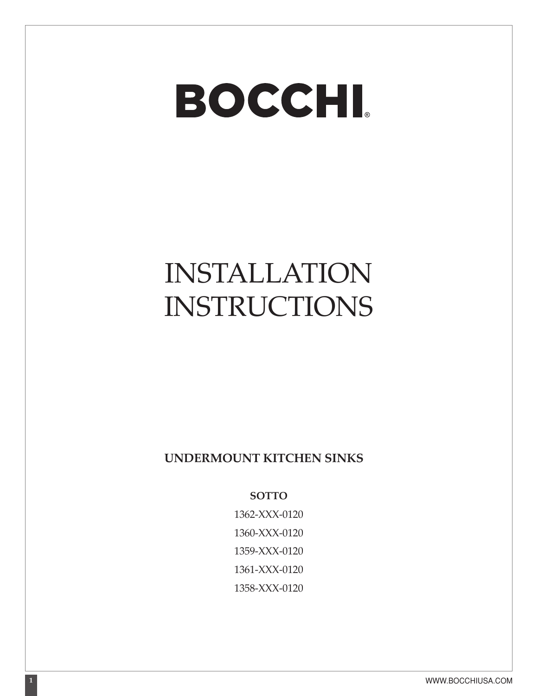## **BOCCHI**

## INSTALLATION INSTRUCTIONS

## **UNDERMOUNT KITCHEN SINKS**

**SOTTO**

1362-XXX-0120 1360-XXX-0120 1359-XXX-0120 1361-XXX-0120 1358-XXX-0120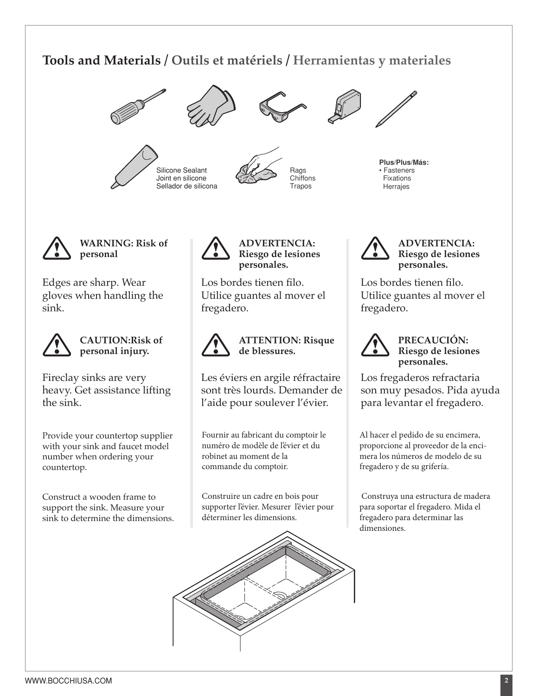## **Tools and Materials / Outils et matériels / Herramientas y materiales**











**Plus/Plus/Más:** • Fasteners Fixations Herrajes



**WARNING: Risk of personal**

Edges are sharp. Wear gloves when handling the sink.



**CAUTION:Risk of personal injury.**

Fireclay sinks are very heavy. Get assistance lifting the sink.

Provide your countertop supplier with your sink and faucet model number when ordering your countertop.

Construct a wooden frame to support the sink. Measure your sink to determine the dimensions.



**ADVERTENCIA: Riesgo de lesiones personales.**

Los bordes tienen filo. Utilice guantes al mover el fregadero.



**ATTENTION: Risque de blessures.**

Les éviers en argile réfractaire sont très lourds. Demander de l'aide pour soulever l'évier.

Fournir au fabricant du comptoir le numéro de modèle de l'évier et du robinet au moment de la commande du comptoir.

Construire un cadre en bois pour supporter l'évier. Mesurer l'évier pour déterminer les dimensions.





**ADVERTENCIA: Riesgo de lesiones personales.**

Los bordes tienen filo. Utilice guantes al mover el fregadero.



**PRECAUCIÓN: Riesgo de lesiones personales.**

Los fregaderos refractaria son muy pesados. Pida ayuda para levantar el fregadero.

Al hacer el pedido de su encimera, proporcione al proveedor de la encimera los números de modelo de su fregadero y de su grifería.

 Construya una estructura de madera para soportar el fregadero. Mida el fregadero para determinar las dimensiones.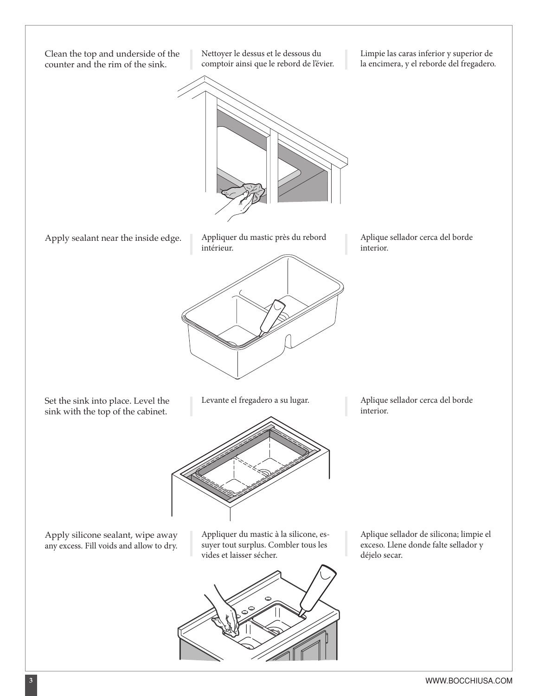